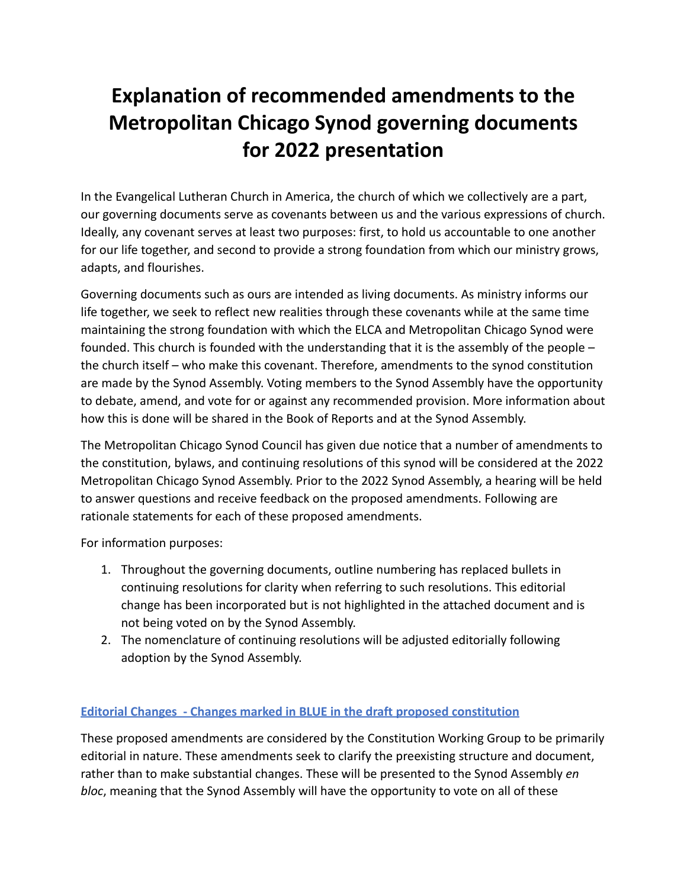# **Explanation of recommended amendments to the Metropolitan Chicago Synod governing documents for 2022 presentation**

In the Evangelical Lutheran Church in America, the church of which we collectively are a part, our governing documents serve as covenants between us and the various expressions of church. Ideally, any covenant serves at least two purposes: first, to hold us accountable to one another for our life together, and second to provide a strong foundation from which our ministry grows, adapts, and flourishes.

Governing documents such as ours are intended as living documents. As ministry informs our life together, we seek to reflect new realities through these covenants while at the same time maintaining the strong foundation with which the ELCA and Metropolitan Chicago Synod were founded. This church is founded with the understanding that it is the assembly of the people – the church itself – who make this covenant. Therefore, amendments to the synod constitution are made by the Synod Assembly. Voting members to the Synod Assembly have the opportunity to debate, amend, and vote for or against any recommended provision. More information about how this is done will be shared in the Book of Reports and at the Synod Assembly.

The Metropolitan Chicago Synod Council has given due notice that a number of amendments to the constitution, bylaws, and continuing resolutions of this synod will be considered at the 2022 Metropolitan Chicago Synod Assembly. Prior to the 2022 Synod Assembly, a hearing will be held to answer questions and receive feedback on the proposed amendments. Following are rationale statements for each of these proposed amendments.

For information purposes:

- 1. Throughout the governing documents, outline numbering has replaced bullets in continuing resolutions for clarity when referring to such resolutions. This editorial change has been incorporated but is not highlighted in the attached document and is not being voted on by the Synod Assembly.
- 2. The nomenclature of continuing resolutions will be adjusted editorially following adoption by the Synod Assembly.

# **Editorial Changes - Changes marked in BLUE in the draft proposed constitution**

These proposed amendments are considered by the Constitution Working Group to be primarily editorial in nature. These amendments seek to clarify the preexisting structure and document, rather than to make substantial changes. These will be presented to the Synod Assembly *en bloc*, meaning that the Synod Assembly will have the opportunity to vote on all of these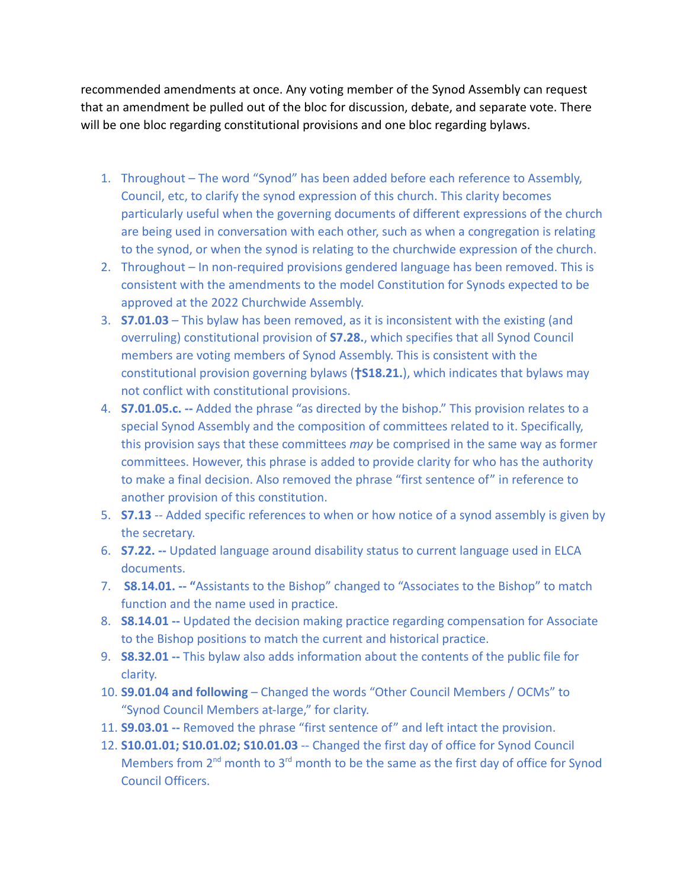recommended amendments at once. Any voting member of the Synod Assembly can request that an amendment be pulled out of the bloc for discussion, debate, and separate vote. There will be one bloc regarding constitutional provisions and one bloc regarding bylaws.

- 1. Throughout The word "Synod" has been added before each reference to Assembly, Council, etc, to clarify the synod expression of this church. This clarity becomes particularly useful when the governing documents of different expressions of the church are being used in conversation with each other, such as when a congregation is relating to the synod, or when the synod is relating to the churchwide expression of the church.
- 2. Throughout In non-required provisions gendered language has been removed. This is consistent with the amendments to the model Constitution for Synods expected to be approved at the 2022 Churchwide Assembly.
- 3. **S7.01.03** This bylaw has been removed, as it is inconsistent with the existing (and overruling) constitutional provision of **S7.28.**, which specifies that all Synod Council members are voting members of Synod Assembly. This is consistent with the constitutional provision governing bylaws (**†S18.21.**), which indicates that bylaws may not conflict with constitutional provisions.
- 4. **S7.01.05.c. --** Added the phrase "as directed by the bishop." This provision relates to a special Synod Assembly and the composition of committees related to it. Specifically, this provision says that these committees *may* be comprised in the same way as former committees. However, this phrase is added to provide clarity for who has the authority to make a final decision. Also removed the phrase "first sentence of" in reference to another provision of this constitution.
- 5. **S7.13** -- Added specific references to when or how notice of a synod assembly is given by the secretary.
- 6. **S7.22. --** Updated language around disability status to current language used in ELCA documents.
- 7. **S8.14.01. -- "**Assistants to the Bishop" changed to "Associates to the Bishop" to match function and the name used in practice.
- 8. **S8.14.01 --** Updated the decision making practice regarding compensation for Associate to the Bishop positions to match the current and historical practice.
- 9. **S8.32.01 --** This bylaw also adds information about the contents of the public file for clarity.
- 10. **S9.01.04 and following** Changed the words "Other Council Members / OCMs" to "Synod Council Members at-large," for clarity.
- 11. **S9.03.01 --** Removed the phrase "first sentence of" and left intact the provision.
- 12. **S10.01.01; S10.01.02; S10.01.03** -- Changed the first day of office for Synod Council Members from  $2<sup>nd</sup>$  month to  $3<sup>rd</sup>$  month to be the same as the first day of office for Synod Council Officers.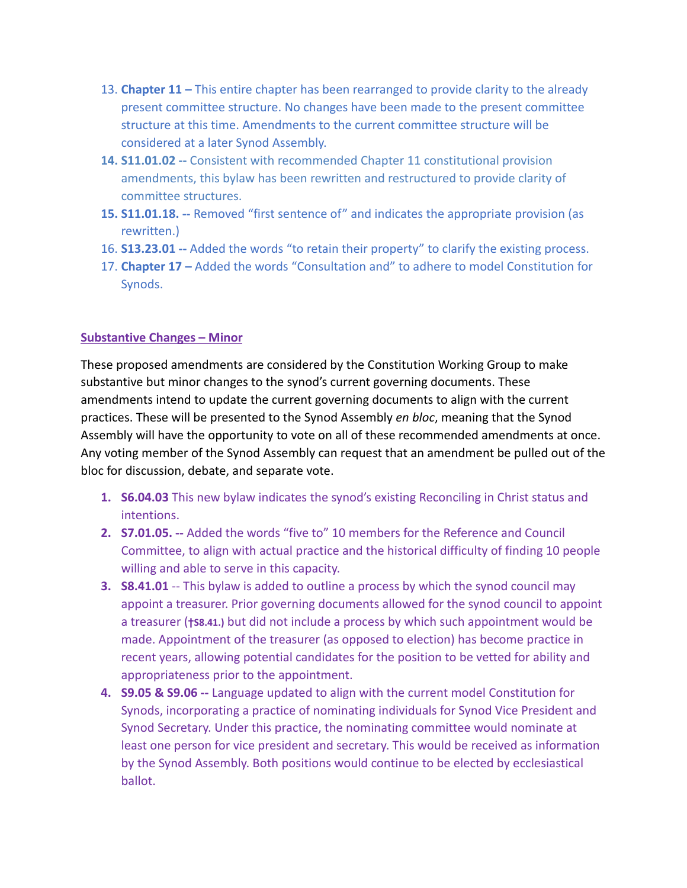- 13. **Chapter 11 –** This entire chapter has been rearranged to provide clarity to the already present committee structure. No changes have been made to the present committee structure at this time. Amendments to the current committee structure will be considered at a later Synod Assembly.
- **14. S11.01.02 --** Consistent with recommended Chapter 11 constitutional provision amendments, this bylaw has been rewritten and restructured to provide clarity of committee structures.
- **15. S11.01.18. --** Removed "first sentence of" and indicates the appropriate provision (as rewritten.)
- 16. **S13.23.01 --** Added the words "to retain their property" to clarify the existing process.
- 17. **Chapter 17 –** Added the words "Consultation and" to adhere to model Constitution for Synods.

# **Substantive Changes – Minor**

These proposed amendments are considered by the Constitution Working Group to make substantive but minor changes to the synod's current governing documents. These amendments intend to update the current governing documents to align with the current practices. These will be presented to the Synod Assembly *en bloc*, meaning that the Synod Assembly will have the opportunity to vote on all of these recommended amendments at once. Any voting member of the Synod Assembly can request that an amendment be pulled out of the bloc for discussion, debate, and separate vote.

- **1. S6.04.03** This new bylaw indicates the synod's existing Reconciling in Christ status and intentions.
- **2. S7.01.05. --** Added the words "five to" 10 members for the Reference and Council Committee, to align with actual practice and the historical difficulty of finding 10 people willing and able to serve in this capacity.
- **3. S8.41.01** -- This bylaw is added to outline a process by which the synod council may appoint a treasurer. Prior governing documents allowed for the synod council to appoint a treasurer (**†S8.41.)** but did not include a process by which such appointment would be made. Appointment of the treasurer (as opposed to election) has become practice in recent years, allowing potential candidates for the position to be vetted for ability and appropriateness prior to the appointment.
- **4. S9.05 & S9.06 --** Language updated to align with the current model Constitution for Synods, incorporating a practice of nominating individuals for Synod Vice President and Synod Secretary. Under this practice, the nominating committee would nominate at least one person for vice president and secretary. This would be received as information by the Synod Assembly. Both positions would continue to be elected by ecclesiastical ballot.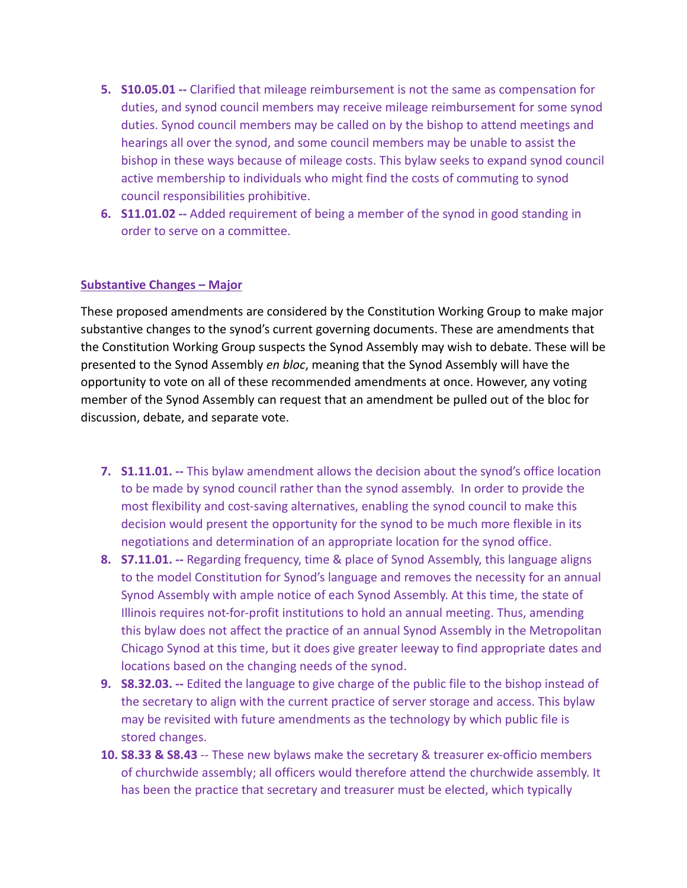- **5. S10.05.01 --** Clarified that mileage reimbursement is not the same as compensation for duties, and synod council members may receive mileage reimbursement for some synod duties. Synod council members may be called on by the bishop to attend meetings and hearings all over the synod, and some council members may be unable to assist the bishop in these ways because of mileage costs. This bylaw seeks to expand synod council active membership to individuals who might find the costs of commuting to synod council responsibilities prohibitive.
- **6. S11.01.02 --** Added requirement of being a member of the synod in good standing in order to serve on a committee.

# **Substantive Changes – Major**

These proposed amendments are considered by the Constitution Working Group to make major substantive changes to the synod's current governing documents. These are amendments that the Constitution Working Group suspects the Synod Assembly may wish to debate. These will be presented to the Synod Assembly *en bloc*, meaning that the Synod Assembly will have the opportunity to vote on all of these recommended amendments at once. However, any voting member of the Synod Assembly can request that an amendment be pulled out of the bloc for discussion, debate, and separate vote.

- **7. S1.11.01. --** This bylaw amendment allows the decision about the synod's office location to be made by synod council rather than the synod assembly. In order to provide the most flexibility and cost-saving alternatives, enabling the synod council to make this decision would present the opportunity for the synod to be much more flexible in its negotiations and determination of an appropriate location for the synod office.
- **8. S7.11.01. --** Regarding frequency, time & place of Synod Assembly, this language aligns to the model Constitution for Synod's language and removes the necessity for an annual Synod Assembly with ample notice of each Synod Assembly. At this time, the state of Illinois requires not-for-profit institutions to hold an annual meeting. Thus, amending this bylaw does not affect the practice of an annual Synod Assembly in the Metropolitan Chicago Synod at this time, but it does give greater leeway to find appropriate dates and locations based on the changing needs of the synod.
- **9. S8.32.03. --** Edited the language to give charge of the public file to the bishop instead of the secretary to align with the current practice of server storage and access. This bylaw may be revisited with future amendments as the technology by which public file is stored changes.
- **10. S8.33 & S8.43** -- These new bylaws make the secretary & treasurer ex-officio members of churchwide assembly; all officers would therefore attend the churchwide assembly. It has been the practice that secretary and treasurer must be elected, which typically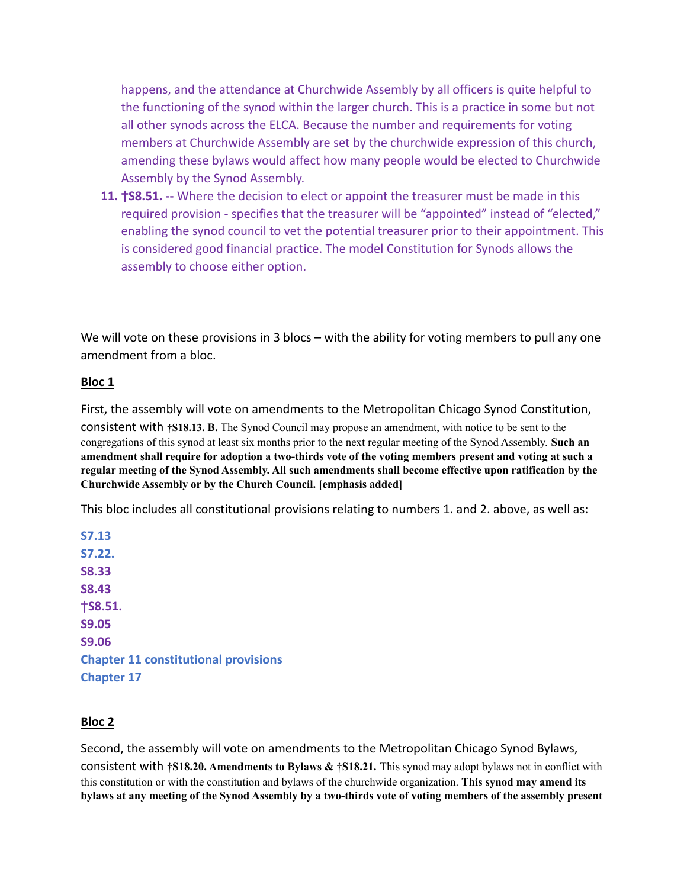happens, and the attendance at Churchwide Assembly by all officers is quite helpful to the functioning of the synod within the larger church. This is a practice in some but not all other synods across the ELCA. Because the number and requirements for voting members at Churchwide Assembly are set by the churchwide expression of this church, amending these bylaws would affect how many people would be elected to Churchwide Assembly by the Synod Assembly.

**11. †S8.51. --** Where the decision to elect or appoint the treasurer must be made in this required provision - specifies that the treasurer will be "appointed" instead of "elected," enabling the synod council to vet the potential treasurer prior to their appointment. This is considered good financial practice. The model Constitution for Synods allows the assembly to choose either option.

We will vote on these provisions in 3 blocs – with the ability for voting members to pull any one amendment from a bloc.

#### **Bloc 1**

First, the assembly will vote on amendments to the Metropolitan Chicago Synod Constitution,

consistent with **†S18.13. B.** The Synod Council may propose an amendment, with notice to be sent to the congregations of this synod at least six months prior to the next regular meeting of the Synod Assembly. **Such an** amendment shall require for adoption a two-thirds vote of the voting members present and voting at such a **regular meeting of the Synod Assembly. All such amendments shall become effective upon ratification by the Churchwide Assembly or by the Church Council. [emphasis added]**

This bloc includes all constitutional provisions relating to numbers 1. and 2. above, as well as:

**S7.13 S7.22. S8.33 S8.43 †S8.51. S9.05 S9.06 Chapter 11 constitutional provisions Chapter 17**

# **Bloc 2**

Second, the assembly will vote on amendments to the Metropolitan Chicago Synod Bylaws, consistent with **†S18.20. Amendments to Bylaws & †S18.21.** This synod may adopt bylaws not in conflict with this constitution or with the constitution and bylaws of the churchwide organization. **This synod may amend its** bylaws at any meeting of the Synod Assembly by a two-thirds vote of voting members of the assembly present